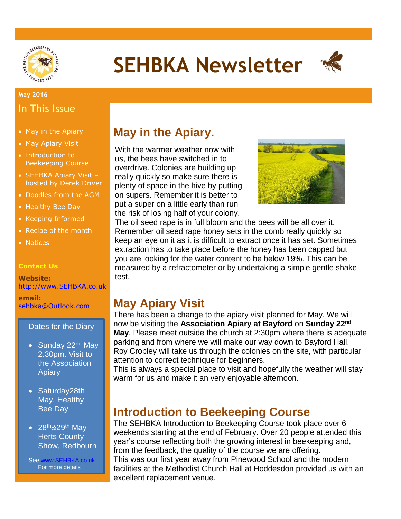

# **SEHBKA Newsletter**



#### **May 2016** In This Issue

- May in the Apiary
- May Apiary Visit
- Introduction to Beekeeping Course
- SEHBKA Apiary Visit hosted by Derek Driver
- Doodles from the AGM
- Healthy Bee Day
- Keeping Informed
- Recipe of the month
- Notices

#### **Contact Us**

**Website:** [http://www.SEHBKA.co.uk](http://www.sehbka.co.uk/)

**email:** [sehbka@Outlook.com](mailto:sehbka@Outlook.com)

#### Dates for the Diary

- Sunday 22<sup>nd</sup> May 2.30pm. Visit to the Association Apiary
- Saturday28th May. Healthy Bee Day
- $\bullet$  28<sup>th</sup>&29<sup>th</sup> May Herts County Show, Redbourn

See [www.SEHBKA.co.uk](http://www.sehbka.co.uk/) For more details

## **May in the Apiary.**

With the warmer weather now with us, the bees have switched in to overdrive. Colonies are building up really quickly so make sure there is plenty of space in the hive by putting on supers. Remember it is better to put a super on a little early than run the risk of losing half of your colony.



The oil seed rape is in full bloom and the bees will be all over it. Remember oil seed rape honey sets in the comb really quickly so keep an eye on it as it is difficult to extract once it has set. Sometimes extraction has to take place before the honey has been capped but you are looking for the water content to be below 19%. This can be measured by a refractometer or by undertaking a simple gentle shake test.

### **May Apiary Visit**

There has been a change to the apiary visit planned for May. We will now be visiting the **Association Apiary at Bayford** on **Sunday 22nd May**. Please meet outside the church at 2:30pm where there is adequate parking and from where we will make our way down to Bayford Hall. Roy Cropley will take us through the colonies on the site, with particular attention to correct technique for beginners.

This is always a special place to visit and hopefully the weather will stay warm for us and make it an very enjoyable afternoon.

### **Introduction to Beekeeping Course**

The SEHBKA Introduction to Beekeeping Course took place over 6 weekends starting at the end of February. Over 20 people attended this year's course reflecting both the growing interest in beekeeping and, from the feedback, the quality of the course we are offering. This was our first year away from Pinewood School and the modern facilities at the Methodist Church Hall at Hoddesdon provided us with an excellent replacement venue.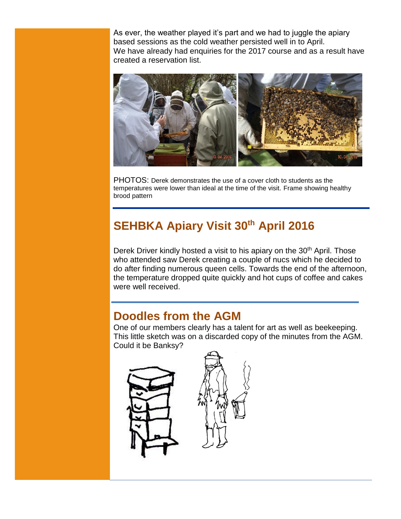As ever, the weather played it's part and we had to juggle the apiary based sessions as the cold weather persisted well in to April. We have already had enquiries for the 2017 course and as a result have created a reservation list.



PHOTOS: Derek demonstrates the use of a cover cloth to students as the temperatures were lower than ideal at the time of the visit. Frame showing healthy brood pattern

# **SEHBKA Apiary Visit 30th April 2016**

Derek Driver kindly hosted a visit to his apiary on the 30<sup>th</sup> April. Those who attended saw Derek creating a couple of nucs which he decided to do after finding numerous queen cells. Towards the end of the afternoon, the temperature dropped quite quickly and hot cups of coffee and cakes were well received.

### **Doodles from the AGM**

One of our members clearly has a talent for art as well as beekeeping. This little sketch was on a discarded copy of the minutes from the AGM. Could it be Banksy?

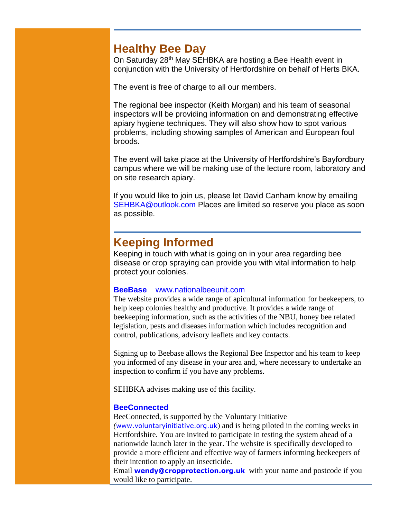### **Healthy Bee Day**

On Saturday 28<sup>th</sup> May SEHBKA are hosting a Bee Health event in conjunction with the University of Hertfordshire on behalf of Herts BKA.

The event is free of charge to all our members.

The regional bee inspector (Keith Morgan) and his team of seasonal inspectors will be providing information on and demonstrating effective apiary hygiene techniques. They will also show how to spot various problems, including showing samples of American and European foul broods.

The event will take place at the University of Hertfordshire's Bayfordbury campus where we will be making use of the lecture room, laboratory and on site research apiary.

If you would like to join us, please let David Canham know by emailing [SEHBKA@outlook.com](mailto:SEHBKA@outlook.com) Places are limited so reserve you place as soon as possible.

### **Keeping Informed**

Keeping in touch with what is going on in your area regarding bee disease or crop spraying can provide you with vital information to help protect your colonies.

#### **BeeBase** [www.nationalbeeunit.com](http://www.nationalbeeunit.com/)

The website provides a wide range of apicultural information for beekeepers, to help keep colonies healthy and productive. It provides a wide range of beekeeping information, such as the activities of the NBU, honey bee related legislation, pests and diseases information which includes recognition and control, publications, advisory leaflets and key contacts.

Signing up to Beebase allows the Regional Bee Inspector and his team to keep you informed of any disease in your area and, where necessary to undertake an inspection to confirm if you have any problems.

SEHBKA advises making use of this facility.

#### **BeeConnected**

BeeConnected, is supported by the Voluntary Initiative

*(*[www.voluntaryinitiative.org.uk](http://www.voluntaryinitiative.org.uk/)) and is being piloted in the coming weeks in Hertfordshire. You are invited to participate in testing the system ahead of a nationwide launch later in the year. The website is specifically developed to provide a more efficient and effective way of farmers informing beekeepers of their intention to apply an insecticide.

Email **[wendy@cropprotection.org.uk](mailto:wendy@cropprotection.org.uk)** with your name and postcode if you would like to participate.